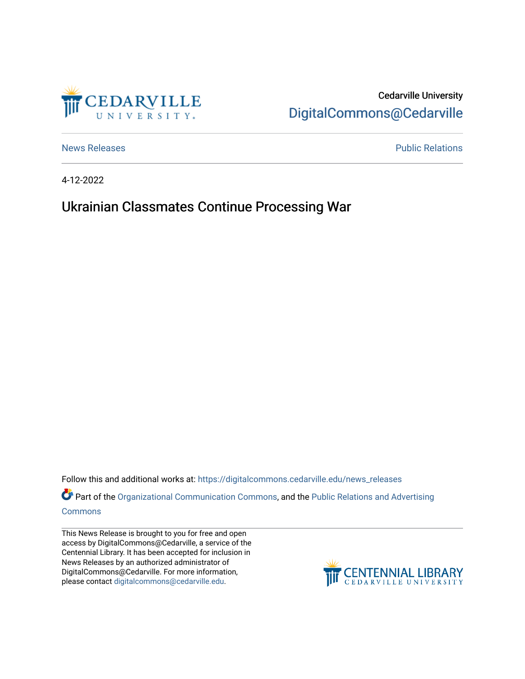

Cedarville University [DigitalCommons@Cedarville](https://digitalcommons.cedarville.edu/) 

[News Releases](https://digitalcommons.cedarville.edu/news_releases) **Public Relations Public Relations** 

4-12-2022

## Ukrainian Classmates Continue Processing War

Follow this and additional works at: [https://digitalcommons.cedarville.edu/news\\_releases](https://digitalcommons.cedarville.edu/news_releases?utm_source=digitalcommons.cedarville.edu%2Fnews_releases%2F1533&utm_medium=PDF&utm_campaign=PDFCoverPages) 

Part of the [Organizational Communication Commons](http://network.bepress.com/hgg/discipline/335?utm_source=digitalcommons.cedarville.edu%2Fnews_releases%2F1533&utm_medium=PDF&utm_campaign=PDFCoverPages), and the Public Relations and Advertising [Commons](http://network.bepress.com/hgg/discipline/336?utm_source=digitalcommons.cedarville.edu%2Fnews_releases%2F1533&utm_medium=PDF&utm_campaign=PDFCoverPages)

This News Release is brought to you for free and open access by DigitalCommons@Cedarville, a service of the Centennial Library. It has been accepted for inclusion in News Releases by an authorized administrator of DigitalCommons@Cedarville. For more information, please contact [digitalcommons@cedarville.edu](mailto:digitalcommons@cedarville.edu).

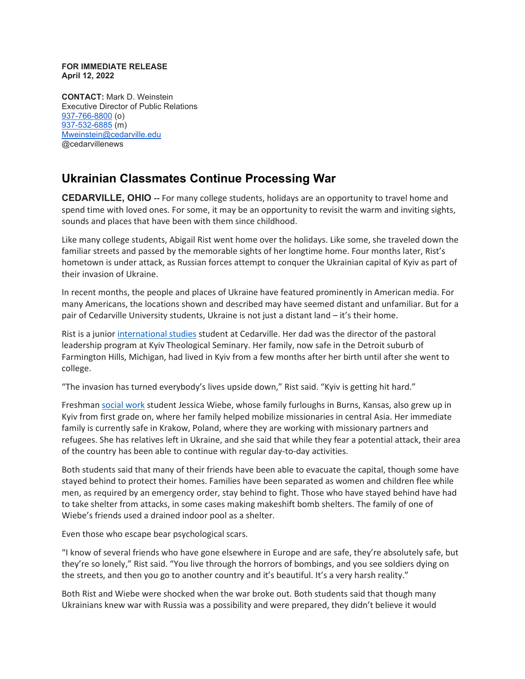## **FOR IMMEDIATE RELEASE April 12, 2022**

**CONTACT:** Mark D. Weinstein Executive Director of Public Relations [937-766-8800](tel:937-766-8800) (o) [937-532-6885](tel:937-532-6885) (m) [Mweinstein@cedarville.edu](mailto:Mweinstein@cedarville.edu) @cedarvillenews

## **Ukrainian Classmates Continue Processing War**

**CEDARVILLE, OHIO --** For many college students, holidays are an opportunity to travel home and spend time with loved ones. For some, it may be an opportunity to revisit the warm and inviting sights, sounds and places that have been with them since childhood.

Like many college students, Abigail Rist went home over the holidays. Like some, she traveled down the familiar streets and passed by the memorable sights of her longtime home. Four months later, Rist's hometown is under attack, as Russian forces attempt to conquer the Ukrainian capital of Kyiv as part of their invasion of Ukraine.

In recent months, the people and places of Ukraine have featured prominently in American media. For many Americans, the locations shown and described may have seemed distant and unfamiliar. But for a pair of Cedarville University students, Ukraine is not just a distant land – it's their home.

Rist is a junior [international studies](https://www.cedarville.edu/academic-programs/international-studies) student at Cedarville. Her dad was the director of the pastoral leadership program at Kyiv Theological Seminary. Her family, now safe in the Detroit suburb of Farmington Hills, Michigan, had lived in Kyiv from a few months after her birth until after she went to college.

"The invasion has turned everybody's lives upside down," Rist said. "Kyiv is getting hit hard."

Freshman [social work](https://www.cedarville.edu/academic-programs/social-work) student Jessica Wiebe, whose family furloughs in Burns, Kansas, also grew up in Kyiv from first grade on, where her family helped mobilize missionaries in central Asia. Her immediate family is currently safe in Krakow, Poland, where they are working with missionary partners and refugees. She has relatives left in Ukraine, and she said that while they fear a potential attack, their area of the country has been able to continue with regular day-to-day activities.

Both students said that many of their friends have been able to evacuate the capital, though some have stayed behind to protect their homes. Families have been separated as women and children flee while men, as required by an emergency order, stay behind to fight. Those who have stayed behind have had to take shelter from attacks, in some cases making makeshift bomb shelters. The family of one of Wiebe's friends used a drained indoor pool as a shelter.

Even those who escape bear psychological scars.

"I know of several friends who have gone elsewhere in Europe and are safe, they're absolutely safe, but they're so lonely," Rist said. "You live through the horrors of bombings, and you see soldiers dying on the streets, and then you go to another country and it's beautiful. It's a very harsh reality."

Both Rist and Wiebe were shocked when the war broke out. Both students said that though many Ukrainians knew war with Russia was a possibility and were prepared, they didn't believe it would